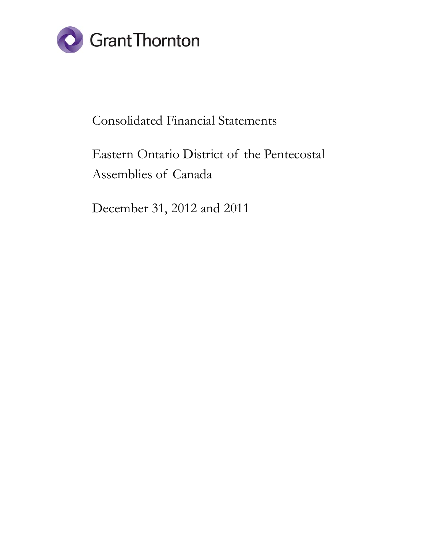

# Consolidated Financial Statements

# Eastern Ontario District of the Pentecostal Assemblies of Canada

December 31, 2012 and 2011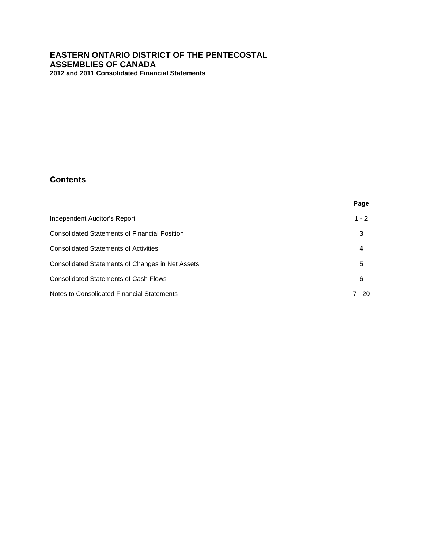# **EASTERN ONTARIO DISTRICT OF THE PENTECOSTAL ASSEMBLIES OF CANADA 2012 and 2011 Consolidated Financial Statements**

# **Contents**

|                                                  | Page     |
|--------------------------------------------------|----------|
| Independent Auditor's Report                     | $1 - 2$  |
| Consolidated Statements of Financial Position    | 3        |
| <b>Consolidated Statements of Activities</b>     | 4        |
| Consolidated Statements of Changes in Net Assets | 5        |
| <b>Consolidated Statements of Cash Flows</b>     | 6        |
| Notes to Consolidated Financial Statements       | $7 - 20$ |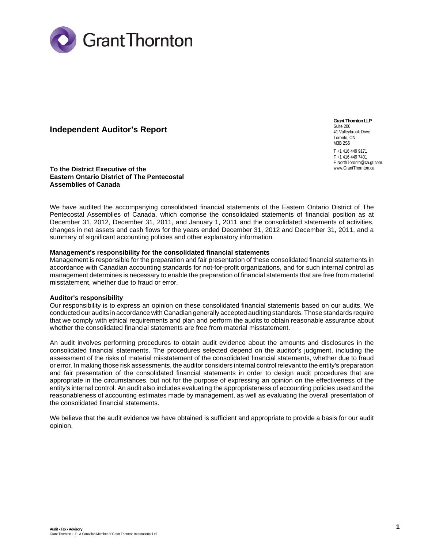

# **Independent Auditor's Report**

**Grant Thornton LLP**  Suite 200 41 Valleybrook Drive Toronto, ON M3B 2S6 T +1 416 449 9171

F +1 416 449 7401 E NorthToronto@ca.gt.com www.GrantThornton.ca

### **To the District Executive of the Eastern Ontario District of The Pentecostal Assemblies of Canada**

We have audited the accompanying consolidated financial statements of the Eastern Ontario District of The Pentecostal Assemblies of Canada, which comprise the consolidated statements of financial position as at December 31, 2012, December 31, 2011, and January 1, 2011 and the consolidated statements of activities, changes in net assets and cash flows for the years ended December 31, 2012 and December 31, 2011, and a summary of significant accounting policies and other explanatory information.

## **Management's responsibility for the consolidated financial statements**

Management is responsible for the preparation and fair presentation of these consolidated financial statements in accordance with Canadian accounting standards for not-for-profit organizations, and for such internal control as management determines is necessary to enable the preparation of financial statements that are free from material misstatement, whether due to fraud or error.

### **Auditor's responsibility**

Our responsibility is to express an opinion on these consolidated financial statements based on our audits. We conducted our audits in accordance with Canadian generally accepted auditing standards. Those standards require that we comply with ethical requirements and plan and perform the audits to obtain reasonable assurance about whether the consolidated financial statements are free from material misstatement.

An audit involves performing procedures to obtain audit evidence about the amounts and disclosures in the consolidated financial statements. The procedures selected depend on the auditor's judgment, including the assessment of the risks of material misstatement of the consolidated financial statements, whether due to fraud or error. In making those risk assessments, the auditor considers internal control relevant to the entity's preparation and fair presentation of the consolidated financial statements in order to design audit procedures that are appropriate in the circumstances, but not for the purpose of expressing an opinion on the effectiveness of the entity's internal control. An audit also includes evaluating the appropriateness of accounting policies used and the reasonableness of accounting estimates made by management, as well as evaluating the overall presentation of the consolidated financial statements.

We believe that the audit evidence we have obtained is sufficient and appropriate to provide a basis for our audit opinion.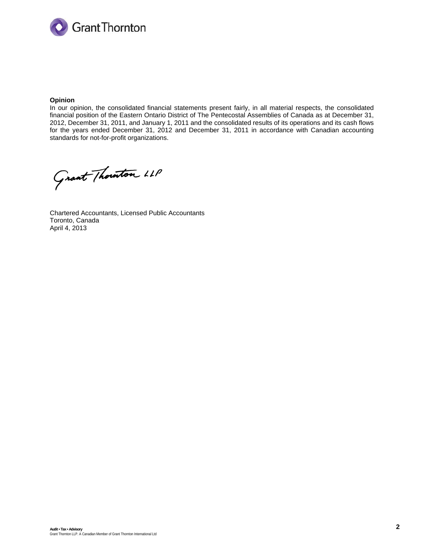

### **Opinion**

In our opinion, the consolidated financial statements present fairly, in all material respects, the consolidated financial position of the Eastern Ontario District of The Pentecostal Assemblies of Canada as at December 31, 2012, December 31, 2011, and January 1, 2011 and the consolidated results of its operations and its cash flows for the years ended December 31, 2012 and December 31, 2011 in accordance with Canadian accounting standards for not-for-profit organizations.

Grant Thouston LLP

Chartered Accountants, Licensed Public Accountants Toronto, Canada April 4, 2013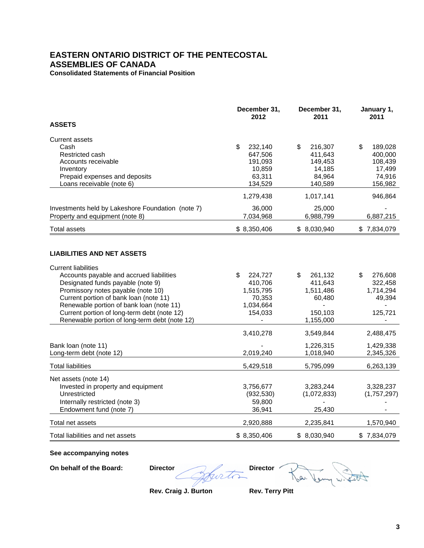**Consolidated Statements of Financial Position**

|                                                                                                                                                                                             | December 31,<br>2012                            | December 31,<br>2011                            | January 1,<br>2011                              |
|---------------------------------------------------------------------------------------------------------------------------------------------------------------------------------------------|-------------------------------------------------|-------------------------------------------------|-------------------------------------------------|
| <b>ASSETS</b>                                                                                                                                                                               |                                                 |                                                 |                                                 |
| <b>Current assets</b><br>Cash                                                                                                                                                               | \$<br>232,140                                   | \$<br>216,307                                   | \$<br>189,028                                   |
| Restricted cash<br>Accounts receivable<br>Inventory                                                                                                                                         | 647,506<br>191,093<br>10,859                    | 411,643<br>149,453<br>14,185                    | 400,000<br>108,439<br>17,499                    |
| Prepaid expenses and deposits<br>Loans receivable (note 6)                                                                                                                                  | 63,311<br>134,529                               | 84,964<br>140,589                               | 74,916<br>156,982                               |
|                                                                                                                                                                                             | 1,279,438                                       | 1,017,141                                       | 946,864                                         |
| Investments held by Lakeshore Foundation (note 7)<br>Property and equipment (note 8)                                                                                                        | 36,000<br>7,034,968                             | 25,000<br>6,988,799                             | 6,887,215                                       |
| Total assets                                                                                                                                                                                | \$8,350,406                                     | \$8,030,940                                     | \$7,834,079                                     |
| <b>LIABILITIES AND NET ASSETS</b>                                                                                                                                                           |                                                 |                                                 |                                                 |
| <b>Current liabilities</b><br>Accounts payable and accrued liabilities<br>Designated funds payable (note 9)<br>Promissory notes payable (note 10)<br>Current portion of bank loan (note 11) | \$<br>224,727<br>410,706<br>1,515,795<br>70,353 | \$<br>261,132<br>411,643<br>1,511,486<br>60,480 | \$<br>276,608<br>322,458<br>1,714,294<br>49,394 |
| Renewable portion of bank loan (note 11)<br>Current portion of long-term debt (note 12)<br>Renewable portion of long-term debt (note 12)                                                    | 1,034,664<br>154,033                            | 150,103<br>1,155,000                            | 125,721                                         |
|                                                                                                                                                                                             | 3,410,278                                       | 3,549,844                                       | 2,488,475                                       |
| Bank loan (note 11)<br>Long-term debt (note 12)                                                                                                                                             | 2,019,240                                       | 1,226,315<br>1,018,940                          | 1,429,338<br>2,345,326                          |
| <b>Total liabilities</b>                                                                                                                                                                    | 5,429,518                                       | 5,795,099                                       | 6,263,139                                       |
| Net assets (note 14)<br>Invested in property and equipment<br>Unrestricted<br>Internally restricted (note 3)<br>Endowment fund (note 7)                                                     | 3,756,677<br>(932, 530)<br>59,800<br>36,941     | 3,283,244<br>(1,072,833)<br>25,430              | 3,328,237<br>(1,757,297)                        |
| Total net assets                                                                                                                                                                            | 2,920,888                                       | 2,235,841                                       | 1,570,940                                       |
| Total liabilities and net assets                                                                                                                                                            | \$8,350,406                                     | \$8,030,940                                     | \$7,834,079                                     |

**On behalf of the Board:** Director Director Director

 $Q_{\omega}$ .

**Rev. Craig J. Burton Rev. Terry Pitt**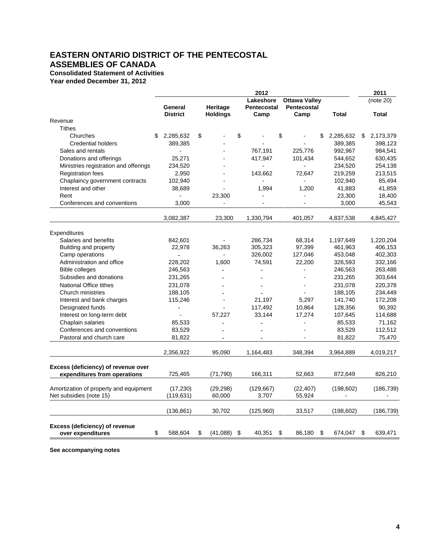**Consolidated Statement of Activities**

**Year ended December 31, 2012**

|                                                     | 2012 |                          |    |                 |    |                                 | 2011                                       |      |              |                 |
|-----------------------------------------------------|------|--------------------------|----|-----------------|----|---------------------------------|--------------------------------------------|------|--------------|-----------------|
|                                                     |      | General                  |    | Heritage        |    | Lakeshore<br><b>Pentecostal</b> | <b>Ottawa Valley</b><br><b>Pentecostal</b> |      |              | (note 20)       |
| Revenue                                             |      | <b>District</b>          |    | <b>Holdings</b> |    | Camp                            | Camp                                       |      | <b>Total</b> | <b>Total</b>    |
| <b>Tithes</b>                                       |      |                          |    |                 |    |                                 |                                            |      |              |                 |
| Churches                                            | \$   | 2,285,632                | \$ |                 | \$ |                                 | \$                                         | \$   | 2,285,632    | \$<br>2,173,379 |
| <b>Credential holders</b>                           |      | 389,385                  |    |                 |    |                                 |                                            |      | 389,385      | 398,123         |
| Sales and rentals                                   |      | $\overline{a}$           |    |                 |    | 767,191                         | 225,776                                    |      | 992,967      | 984,541         |
| Donations and offerings                             |      | 25,271                   |    |                 |    | 417,947                         | 101,434                                    |      | 544,652      | 630,435         |
| Ministries registration and offerings               |      | 234,520                  |    |                 |    | $\overline{\phantom{0}}$        | $\overline{\phantom{a}}$                   |      | 234,520      | 254,138         |
|                                                     |      |                          |    |                 |    |                                 |                                            |      |              |                 |
| <b>Registration fees</b>                            |      | 2,950                    |    |                 |    | 143,662                         | 72,647                                     |      | 219,259      | 213,515         |
| Chaplaincy government contracts                     |      | 102,940                  |    |                 |    |                                 |                                            |      | 102,940      | 85,494          |
| Interest and other                                  |      | 38,689                   |    |                 |    | 1,994                           | 1,200                                      |      | 41,883       | 41,859          |
| Rent                                                |      | $\overline{\phantom{a}}$ |    | 23,300          |    | $\overline{a}$                  |                                            |      | 23,300       | 18,400          |
| Conferences and conventions                         |      | 3,000                    |    |                 |    |                                 |                                            |      | 3,000        | 45,543          |
|                                                     |      | 3,082,387                |    | 23,300          |    | 1,330,794                       | 401,057                                    |      | 4,837,538    | 4,845,427       |
| Expenditures                                        |      |                          |    |                 |    |                                 |                                            |      |              |                 |
| Salaries and benefits                               |      | 842,601                  |    |                 |    | 286,734                         | 68,314                                     |      | 1,197,649    | 1,220,204       |
| Building and property                               |      | 22,978                   |    | 36,263          |    | 305,323                         | 97,399                                     |      | 461,963      | 406,153         |
| Camp operations                                     |      |                          |    |                 |    | 326,002                         | 127,046                                    |      | 453,048      | 402,303         |
| Administration and office                           |      | 228,202                  |    | 1,600           |    | 74,591                          | 22,200                                     |      | 326,593      | 332,166         |
| <b>Bible colleges</b>                               |      | 246,563                  |    | $\overline{a}$  |    | $\overline{\phantom{a}}$        | $\overline{\phantom{a}}$                   |      | 246,563      | 263,488         |
| Subsidies and donations                             |      | 231,265                  |    |                 |    |                                 |                                            |      | 231,265      | 303,644         |
| National Office tithes                              |      | 231,078                  |    |                 |    |                                 |                                            |      | 231,078      | 220,378         |
| Church ministries                                   |      | 188,105                  |    | $\overline{a}$  |    |                                 |                                            |      | 188,105      | 234,449         |
| Interest and bank charges                           |      | 115,246                  |    |                 |    | 21,197                          | 5,297                                      |      | 141,740      | 172,208         |
| Designated funds                                    |      | $\overline{\phantom{a}}$ |    |                 |    | 117,492                         | 10,864                                     |      | 128,356      | 90,392          |
| Interest on long-term debt                          |      |                          |    | 57,227          |    | 33,144                          | 17,274                                     |      | 107,645      | 114,688         |
| Chaplain salaries                                   |      |                          |    |                 |    |                                 |                                            |      |              | 71,162          |
|                                                     |      | 85,533                   |    | $\overline{a}$  |    |                                 |                                            |      | 85,533       |                 |
| Conferences and conventions                         |      | 83,529                   |    | $\blacksquare$  |    | $\overline{a}$                  |                                            |      | 83,529       | 112,512         |
| Pastoral and church care                            |      | 81,822                   |    |                 |    |                                 |                                            |      | 81,822       | 75,470          |
|                                                     |      | 2,356,922                |    | 95,090          |    | 1,164,483                       | 348,394                                    |      | 3,964,889    | 4,019,217       |
| Excess (deficiency) of revenue over                 |      |                          |    |                 |    |                                 |                                            |      |              |                 |
| expenditures from operations                        |      | 725,465                  |    | (71, 790)       |    | 166,311                         | 52,663                                     |      | 872,649      | 826,210         |
| Amortization of property and equipment              |      | (17, 230)                |    | (29, 298)       |    | (129, 667)                      | (22, 407)                                  |      | (198, 602)   | (186, 739)      |
| Net subsidies (note 15)                             |      | (119, 631)               |    | 60,000          |    | 3,707                           | 55,924                                     |      |              |                 |
|                                                     |      | (136, 861)               |    | 30,702          |    | (125,960)                       | 33,517                                     |      | (198, 602)   | (186, 739)      |
| Excess (deficiency) of revenue<br>over expenditures | \$   | 588,604                  | \$ | (41,088)        | \$ | 40,351                          | \$<br>86,180                               | - \$ | 674,047      | \$<br>639,471   |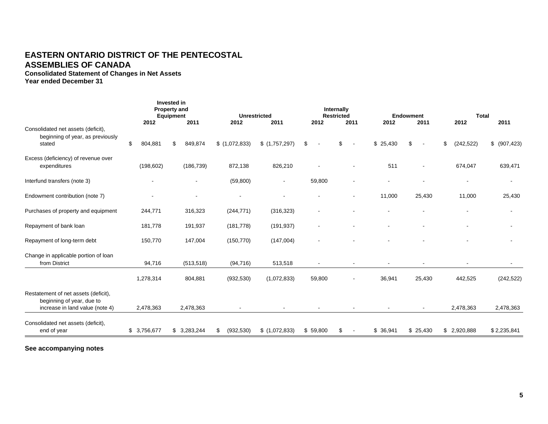**Consolidated Statement of Changes in Net Assets Year ended December 31**

|                                                                                                      | Invested in<br><b>Property and</b><br>Internally<br><b>Unrestricted</b><br><b>Equipment</b><br><b>Restricted</b><br>2011<br>2011<br>2012<br>2011<br>2012<br>2012<br>2012 |               | <b>Endowment</b><br>2011 | 2012          | <b>Total</b><br>2011 |                       |          |                                |                   |               |
|------------------------------------------------------------------------------------------------------|--------------------------------------------------------------------------------------------------------------------------------------------------------------------------|---------------|--------------------------|---------------|----------------------|-----------------------|----------|--------------------------------|-------------------|---------------|
| Consolidated net assets (deficit),<br>beginning of year, as previously<br>stated                     | \$<br>804,881                                                                                                                                                            | 849,874<br>\$ | \$(1,072,833)            | \$(1,757,297) | ß.                   | \$.<br>$\blacksquare$ | \$25,430 | \$<br>$\overline{\phantom{a}}$ | (242, 522)<br>\$. | \$ (907, 423) |
| Excess (deficiency) of revenue over<br>expenditures                                                  | (198, 602)                                                                                                                                                               | (186, 739)    | 872,138                  | 826,210       |                      |                       | 511      | ٠                              | 674,047           | 639,471       |
| Interfund transfers (note 3)                                                                         |                                                                                                                                                                          |               | (59, 800)                |               | 59,800               |                       |          |                                | $\blacksquare$    |               |
| Endowment contribution (note 7)                                                                      |                                                                                                                                                                          |               |                          |               |                      |                       | 11,000   | 25,430                         | 11,000            | 25,430        |
| Purchases of property and equipment                                                                  | 244,771                                                                                                                                                                  | 316,323       | (244, 771)               | (316, 323)    |                      |                       |          |                                |                   |               |
| Repayment of bank loan                                                                               | 181,778                                                                                                                                                                  | 191,937       | (181, 778)               | (191, 937)    |                      |                       |          |                                |                   |               |
| Repayment of long-term debt                                                                          | 150,770                                                                                                                                                                  | 147,004       | (150, 770)               | (147,004)     |                      |                       |          |                                |                   |               |
| Change in applicable portion of loan<br>from District                                                | 94,716                                                                                                                                                                   | (513, 518)    | (94, 716)                | 513,518       |                      |                       |          |                                |                   |               |
|                                                                                                      | 1,278,314                                                                                                                                                                | 804,881       | (932, 530)               | (1,072,833)   | 59,800               |                       | 36,941   | 25,430                         | 442,525           | (242, 522)    |
| Restatement of net assets (deficit),<br>beginning of year, due to<br>increase in land value (note 4) | 2,478,363                                                                                                                                                                | 2,478,363     |                          |               |                      |                       |          |                                | 2,478,363         | 2,478,363     |
| Consolidated net assets (deficit),<br>end of year                                                    | \$3,756,677                                                                                                                                                              | \$3,283,244   | (932, 530)<br>\$         | \$(1,072,833) | \$59,800             | \$                    | \$36,941 | \$25,430                       | \$2,920,888       | \$2,235,841   |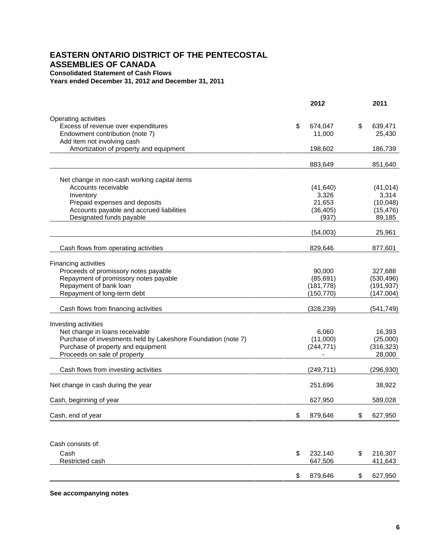# **EASTERN ONTARIO DISTRICT OF THE PENTECOSTAL ASSEMBLIES OF CANADA Consolidated Statement of Cash Flows**

**Years ended December 31, 2012 and December 31, 2011**

|                                                               | 2012          | 2011          |
|---------------------------------------------------------------|---------------|---------------|
| Operating activities                                          |               |               |
| Excess of revenue over expenditures                           | \$<br>674,047 | \$<br>639,471 |
| Endowment contribution (note 7)                               | 11,000        | 25,430        |
| Add item not involving cash                                   |               |               |
| Amortization of property and equipment                        | 198,602       | 186,739       |
|                                                               |               |               |
|                                                               | 883,649       | 851,640       |
| Net change in non-cash working capital items                  |               |               |
| Accounts receivable                                           | (41, 640)     | (41, 014)     |
| Inventory                                                     | 3,326         | 3,314         |
| Prepaid expenses and deposits                                 | 21,653        | (10,048)      |
| Accounts payable and accrued liabilities                      | (36, 405)     | (15, 476)     |
| Designated funds payable                                      | (937)         | 89,185        |
|                                                               |               |               |
|                                                               | (54,003)      | 25,961        |
| Cash flows from operating activities                          | 829,646       | 877,601       |
|                                                               |               |               |
| Financing activities                                          |               |               |
| Proceeds of promissory notes payable                          | 90,000        | 327,688       |
| Repayment of promissory notes payable                         | (85, 691)     | (530, 496)    |
| Repayment of bank loan                                        | (181, 778)    | (191, 937)    |
| Repayment of long-term debt                                   | (150, 770)    | (147, 004)    |
| Cash flows from financing activities                          | (328, 239)    | (541, 749)    |
| Investing activities                                          |               |               |
| Net change in loans receivable                                | 6,060         | 16,393        |
| Purchase of investments held by Lakeshore Foundation (note 7) | (11,000)      | (25,000)      |
| Purchase of property and equipment                            | (244, 771)    | (316, 323)    |
| Proceeds on sale of property                                  |               | 28,000        |
|                                                               |               |               |
| Cash flows from investing activities                          | (249, 711)    | (296, 930)    |
| Net change in cash during the year                            | 251,696       | 38,922        |
| Cash, beginning of year                                       | 627,950       | 589,028       |
|                                                               |               |               |
| Cash, end of year                                             | \$<br>879,646 | \$<br>627,950 |
|                                                               |               |               |
| Cash consists of:                                             |               |               |
| Cash                                                          | \$<br>232,140 | \$<br>216,307 |
| Restricted cash                                               | 647,506       | 411,643       |
|                                                               | \$<br>879,646 | \$<br>627,950 |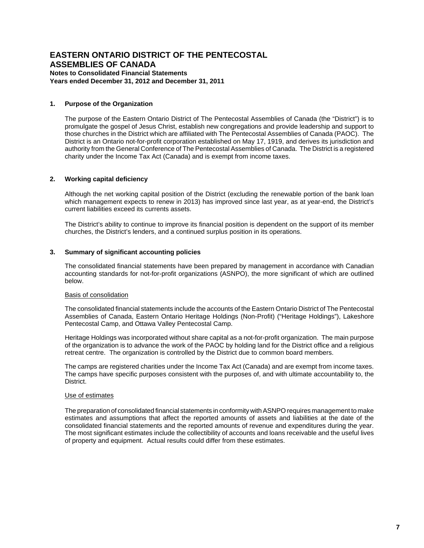**Notes to Consolidated Financial Statements Years ended December 31, 2012 and December 31, 2011**

# **1. Purpose of the Organization**

The purpose of the Eastern Ontario District of The Pentecostal Assemblies of Canada (the "District") is to promulgate the gospel of Jesus Christ, establish new congregations and provide leadership and support to those churches in the District which are affiliated with The Pentecostal Assemblies of Canada (PAOC). The District is an Ontario not-for-profit corporation established on May 17, 1919, and derives its jurisdiction and authority from the General Conference of The Pentecostal Assemblies of Canada. The District is a registered charity under the Income Tax Act (Canada) and is exempt from income taxes.

## **2. Working capital deficiency**

Although the net working capital position of the District (excluding the renewable portion of the bank loan which management expects to renew in 2013) has improved since last year, as at year-end, the District's current liabilities exceed its currents assets.

The District's ability to continue to improve its financial position is dependent on the support of its member churches, the District's lenders, and a continued surplus position in its operations.

## **3. Summary of significant accounting policies**

The consolidated financial statements have been prepared by management in accordance with Canadian accounting standards for not-for-profit organizations (ASNPO), the more significant of which are outlined below.

## Basis of consolidation

The consolidated financial statements include the accounts of the Eastern Ontario District of The Pentecostal Assemblies of Canada, Eastern Ontario Heritage Holdings (Non-Profit) ("Heritage Holdings"), Lakeshore Pentecostal Camp, and Ottawa Valley Pentecostal Camp.

Heritage Holdings was incorporated without share capital as a not-for-profit organization. The main purpose of the organization is to advance the work of the PAOC by holding land for the District office and a religious retreat centre. The organization is controlled by the District due to common board members.

The camps are registered charities under the Income Tax Act (Canada) and are exempt from income taxes. The camps have specific purposes consistent with the purposes of, and with ultimate accountability to, the District.

# Use of estimates

The preparation of consolidated financial statements in conformity with ASNPO requires management to make estimates and assumptions that affect the reported amounts of assets and liabilities at the date of the consolidated financial statements and the reported amounts of revenue and expenditures during the year. The most significant estimates include the collectibility of accounts and loans receivable and the useful lives of property and equipment. Actual results could differ from these estimates.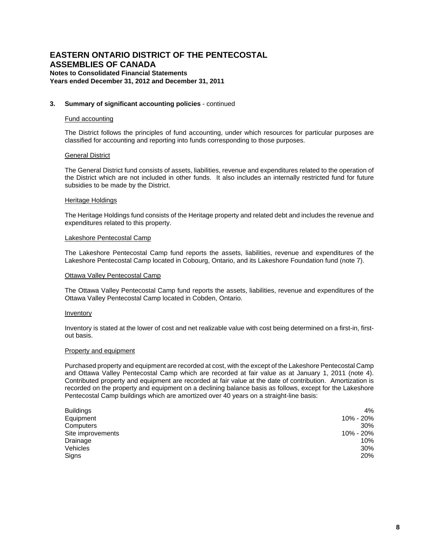#### **3. Summary of significant accounting policies** - continued

#### Fund accounting

The District follows the principles of fund accounting, under which resources for particular purposes are classified for accounting and reporting into funds corresponding to those purposes.

#### General District

The General District fund consists of assets, liabilities, revenue and expenditures related to the operation of the District which are not included in other funds. It also includes an internally restricted fund for future subsidies to be made by the District.

#### Heritage Holdings

The Heritage Holdings fund consists of the Heritage property and related debt and includes the revenue and expenditures related to this property.

#### Lakeshore Pentecostal Camp

The Lakeshore Pentecostal Camp fund reports the assets, liabilities, revenue and expenditures of the Lakeshore Pentecostal Camp located in Cobourg, Ontario, and its Lakeshore Foundation fund (note 7).

#### Ottawa Valley Pentecostal Camp

The Ottawa Valley Pentecostal Camp fund reports the assets, liabilities, revenue and expenditures of the Ottawa Valley Pentecostal Camp located in Cobden, Ontario.

#### Inventory

Inventory is stated at the lower of cost and net realizable value with cost being determined on a first-in, firstout basis.

#### Property and equipment

Purchased property and equipment are recorded at cost, with the except of the Lakeshore Pentecostal Camp and Ottawa Valley Pentecostal Camp which are recorded at fair value as at January 1, 2011 (note 4). Contributed property and equipment are recorded at fair value at the date of contribution. Amortization is recorded on the property and equipment on a declining balance basis as follows, except for the Lakeshore Pentecostal Camp buildings which are amortized over 40 years on a straight-line basis:

| <b>Buildings</b>  | 4%        |
|-------------------|-----------|
| Equipment         | 10% - 20% |
| Computers         | 30%       |
| Site improvements | 10% - 20% |
| Drainage          | 10%       |
| Vehicles          | 30%       |
| Signs             | 20%       |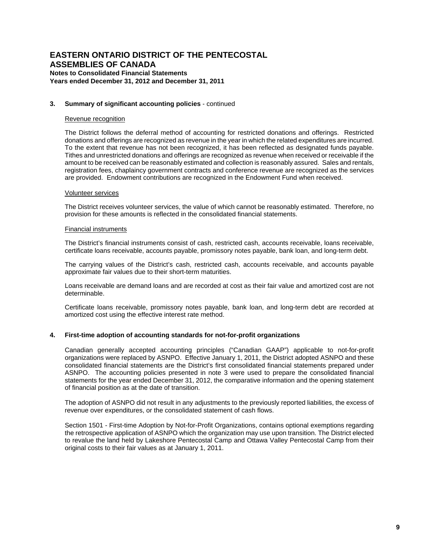#### **3. Summary of significant accounting policies** - continued

#### Revenue recognition

The District follows the deferral method of accounting for restricted donations and offerings. Restricted donations and offerings are recognized as revenue in the year in which the related expenditures are incurred. To the extent that revenue has not been recognized, it has been reflected as designated funds payable. Tithes and unrestricted donations and offerings are recognized as revenue when received or receivable if the amount to be received can be reasonably estimated and collection is reasonably assured. Sales and rentals, registration fees, chaplaincy government contracts and conference revenue are recognized as the services are provided. Endowment contributions are recognized in the Endowment Fund when received.

#### Volunteer services

The District receives volunteer services, the value of which cannot be reasonably estimated. Therefore, no provision for these amounts is reflected in the consolidated financial statements.

#### Financial instruments

The District's financial instruments consist of cash, restricted cash, accounts receivable, loans receivable, certificate loans receivable, accounts payable, promissory notes payable, bank loan, and long-term debt.

The carrying values of the District's cash, restricted cash, accounts receivable, and accounts payable approximate fair values due to their short-term maturities.

Loans receivable are demand loans and are recorded at cost as their fair value and amortized cost are not determinable.

Certificate loans receivable, promissory notes payable, bank loan, and long-term debt are recorded at amortized cost using the effective interest rate method.

## **4. First-time adoption of accounting standards for not-for-profit organizations**

Canadian generally accepted accounting principles ("Canadian GAAP") applicable to not-for-profit organizations were replaced by ASNPO. Effective January 1, 2011, the District adopted ASNPO and these consolidated financial statements are the District's first consolidated financial statements prepared under ASNPO. The accounting policies presented in note 3 were used to prepare the consolidated financial statements for the year ended December 31, 2012, the comparative information and the opening statement of financial position as at the date of transition.

The adoption of ASNPO did not result in any adjustments to the previously reported liabilities, the excess of revenue over expenditures, or the consolidated statement of cash flows.

Section 1501 - First-time Adoption by Not-for-Profit Organizations, contains optional exemptions regarding the retrospective application of ASNPO which the organization may use upon transition. The District elected to revalue the land held by Lakeshore Pentecostal Camp and Ottawa Valley Pentecostal Camp from their original costs to their fair values as at January 1, 2011.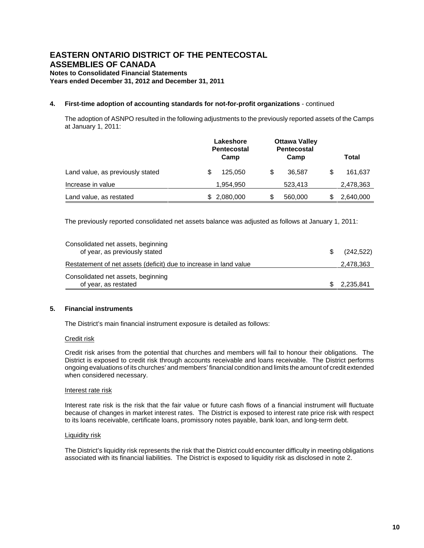# **EASTERN ONTARIO DISTRICT OF THE PENTECOSTAL ASSEMBLIES OF CANADA Notes to Consolidated Financial Statements**

**Years ended December 31, 2012 and December 31, 2011**

# **4. First-time adoption of accounting standards for not-for-profit organizations** - continued

The adoption of ASNPO resulted in the following adjustments to the previously reported assets of the Camps at January 1, 2011:

|                                  | Lakeshore<br><b>Pentecostal</b><br>Camp | <b>Ottawa Valley</b><br><b>Pentecostal</b><br>Camp | Total         |
|----------------------------------|-----------------------------------------|----------------------------------------------------|---------------|
| Land value, as previously stated | 125.050                                 | \$<br>36.587                                       | \$<br>161.637 |
| Increase in value                | 1.954.950                               | 523,413                                            | 2,478,363     |
| Land value, as restated          | 2,080,000                               | \$<br>560,000                                      | 2,640,000     |

The previously reported consolidated net assets balance was adjusted as follows at January 1, 2011:

| Consolidated net assets, beginning<br>of year, as previously stated | S   | (242,522) |
|---------------------------------------------------------------------|-----|-----------|
| Restatement of net assets (deficit) due to increase in land value   |     | 2,478,363 |
| Consolidated net assets, beginning<br>of year, as restated          | \$. | 2,235,841 |

# **5. Financial instruments**

The District's main financial instrument exposure is detailed as follows:

# Credit risk

Credit risk arises from the potential that churches and members will fail to honour their obligations. The District is exposed to credit risk through accounts receivable and loans receivable. The District performs ongoing evaluations of its churches' and members' financial condition and limits the amount of credit extended when considered necessary.

# Interest rate risk

Interest rate risk is the risk that the fair value or future cash flows of a financial instrument will fluctuate because of changes in market interest rates. The District is exposed to interest rate price risk with respect to its loans receivable, certificate loans, promissory notes payable, bank loan, and long-term debt.

# Liquidity risk

The District's liquidity risk represents the risk that the District could encounter difficulty in meeting obligations associated with its financial liabilities. The District is exposed to liquidity risk as disclosed in note 2.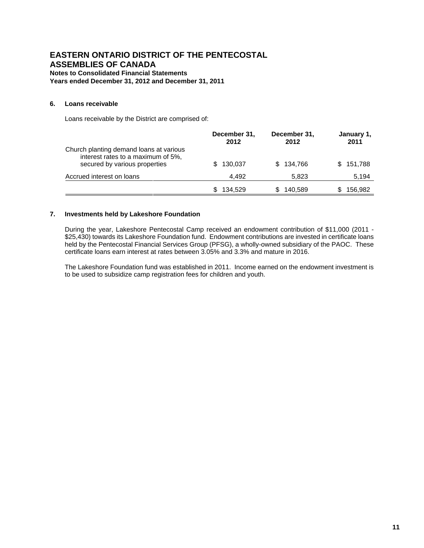## **6. Loans receivable**

Loans receivable by the District are comprised of:

|                                                                                                                | December 31,<br>2012 | December 31,<br>2012 | January 1,<br>2011 |
|----------------------------------------------------------------------------------------------------------------|----------------------|----------------------|--------------------|
| Church planting demand loans at various<br>interest rates to a maximum of 5%,<br>secured by various properties | 130.037              | \$134,766            | \$151,788          |
| Accrued interest on loans                                                                                      | 4.492                | 5.823                | 5,194              |
|                                                                                                                | 134,529              | 140,589              | 156,982            |

## **7. Investments held by Lakeshore Foundation**

During the year, Lakeshore Pentecostal Camp received an endowment contribution of \$11,000 (2011 - \$25,430) towards its Lakeshore Foundation fund. Endowment contributions are invested in certificate loans held by the Pentecostal Financial Services Group (PFSG), a wholly-owned subsidiary of the PAOC. These certificate loans earn interest at rates between 3.05% and 3.3% and mature in 2016.

The Lakeshore Foundation fund was established in 2011. Income earned on the endowment investment is to be used to subsidize camp registration fees for children and youth.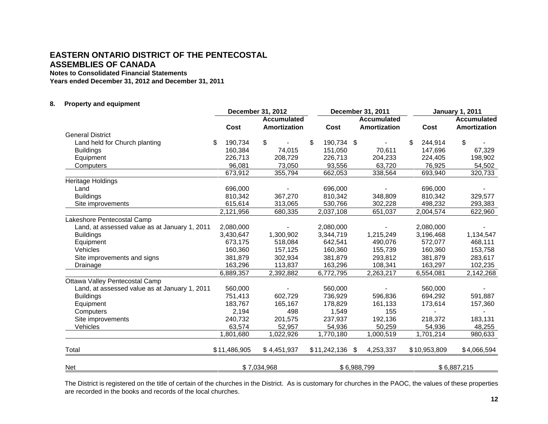# **Notes to Consolidated Financial Statements**

**Years ended December 31, 2012 and December 31, 2011**

# **8. Property and equipment**

|                                               |              | December 31, 2012  |                  | December 31, 2011 |                | <b>January 1, 2011</b> |  |
|-----------------------------------------------|--------------|--------------------|------------------|-------------------|----------------|------------------------|--|
|                                               |              | <b>Accumulated</b> |                  | Accumulated       |                | <b>Accumulated</b>     |  |
|                                               | Cost         | Amortization       | <b>Cost</b>      | Amortization      | Cost           | Amortization           |  |
| <b>General District</b>                       |              |                    |                  |                   |                |                        |  |
| Land held for Church planting                 | 190,734<br>S | \$                 | \$<br>190,734 \$ |                   | 244,914<br>\$. | \$                     |  |
| <b>Buildings</b>                              | 160,384      | 74,015             | 151,050          | 70,611            | 147,696        | 67,329                 |  |
| Equipment                                     | 226,713      | 208,729            | 226,713          | 204,233           | 224,405        | 198,902                |  |
| Computers                                     | 96,081       | 73,050             | 93,556           | 63,720            | 76,925         | 54,502                 |  |
|                                               | 673,912      | 355,794            | 662,053          | 338,564           | 693,940        | 320,733                |  |
| Heritage Holdings                             |              |                    |                  |                   |                |                        |  |
| Land                                          | 696,000      |                    | 696,000          |                   | 696,000        |                        |  |
| <b>Buildings</b>                              | 810,342      | 367,270            | 810,342          | 348,809           | 810,342        | 329,577                |  |
| Site improvements                             | 615,614      | 313,065            | 530,766          | 302,228           | 498,232        | 293,383                |  |
|                                               | 2,121,956    | 680,335            | 2,037,108        | 651,037           | 2,004,574      | 622,960                |  |
| Lakeshore Pentecostal Camp                    |              |                    |                  |                   |                |                        |  |
| Land, at assessed value as at January 1, 2011 | 2,080,000    |                    | 2,080,000        |                   | 2,080,000      |                        |  |
| <b>Buildings</b>                              | 3,430,647    | 1,300,902          | 3,344,719        | 1,215,249         | 3,196,468      | 1,134,547              |  |
| Equipment                                     | 673,175      | 518,084            | 642,541          | 490,076           | 572,077        | 468,111                |  |
| Vehicles                                      | 160,360      | 157,125            | 160,360          | 155,739           | 160,360        | 153,758                |  |
| Site improvements and signs                   | 381,879      | 302,934            | 381,879          | 293,812           | 381,879        | 283,617                |  |
| Drainage                                      | 163,296      | 113,837            | 163,296          | 108,341           | 163,297        | 102,235                |  |
|                                               | 6,889,357    | 2,392,882          | 6,772,795        | 2,263,217         | 6,554,081      | 2,142,268              |  |
| Ottawa Valley Pentecostal Camp                |              |                    |                  |                   |                |                        |  |
| Land, at assessed value as at January 1, 2011 | 560,000      |                    | 560,000          |                   | 560,000        |                        |  |
| <b>Buildings</b>                              | 751,413      | 602,729            | 736,929          | 596,836           | 694,292        | 591,887                |  |
| Equipment                                     | 183,767      | 165,167            | 178,829          | 161,133           | 173,614        | 157,360                |  |
| Computers                                     | 2,194        | 498                | 1,549            | 155               |                |                        |  |
| Site improvements                             | 240,732      | 201,575            | 237,937          | 192,136           | 218,372        | 183,131                |  |
| Vehicles                                      | 63,574       | 52,957             | 54,936           | 50,259            | 54,936         | 48,255                 |  |
|                                               | 1,801,680    | 1,022,926          | 1,770,180        | 1,000,519         | 1,701,214      | 980,633                |  |
| Total                                         | \$11,486,905 | \$4,451,937        | $$11,242,136$ \$ | 4,253,337         | \$10,953,809   | \$4,066,594            |  |
| Net                                           |              | \$7,034,968        |                  | \$6,988,799       |                | \$6,887,215            |  |

The District is registered on the title of certain of the churches in the District. As is customary for churches in the PAOC, the values of these properties are recorded in the books and records of the local churches.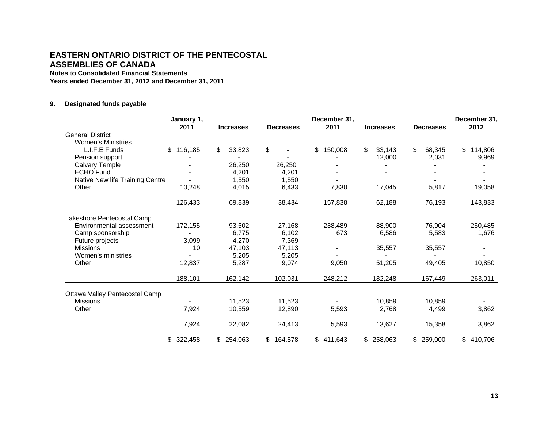**Notes to Consolidated Financial Statements**

**Years ended December 31, 2012 and December 31, 2011**

# **9. Designated funds payable**

|                                 | December 31,<br>January 1, |                  |                                | December 31,  |                  |                  |                         |
|---------------------------------|----------------------------|------------------|--------------------------------|---------------|------------------|------------------|-------------------------|
|                                 | 2011                       | <b>Increases</b> | <b>Decreases</b>               | 2011          | <b>Increases</b> | <b>Decreases</b> | 2012                    |
| <b>General District</b>         |                            |                  |                                |               |                  |                  |                         |
| <b>Women's Ministries</b>       |                            |                  |                                |               |                  |                  |                         |
| L.I.F.E Funds                   | \$116,185                  | \$<br>33,823     | \$<br>$\overline{\phantom{a}}$ | \$<br>150,008 | \$<br>33,143     | \$<br>68,345     | $\mathbb{S}$<br>114,806 |
| Pension support                 |                            |                  |                                |               | 12,000           | 2,031            | 9,969                   |
| <b>Calvary Temple</b>           |                            | 26,250           | 26,250                         |               |                  |                  |                         |
| <b>ECHO</b> Fund                |                            | 4,201            | 4,201                          |               |                  |                  |                         |
| Native New life Training Centre |                            | 1,550            | 1,550                          |               |                  |                  |                         |
| Other                           | 10,248                     | 4,015            | 6,433                          | 7,830         | 17,045           | 5,817            | 19,058                  |
|                                 | 126,433                    | 69,839           | 38,434                         | 157,838       | 62,188           | 76,193           | 143,833                 |
|                                 |                            |                  |                                |               |                  |                  |                         |
| Lakeshore Pentecostal Camp      |                            |                  |                                |               |                  |                  |                         |
| Environmental assessment        | 172,155                    | 93,502           | 27,168                         | 238,489       | 88,900           | 76,904           | 250,485                 |
| Camp sponsorship                |                            | 6,775            | 6,102                          | 673           | 6,586            | 5,583            | 1,676                   |
| Future projects                 | 3,099                      | 4,270            | 7,369                          |               |                  |                  |                         |
| <b>Missions</b>                 | 10                         | 47,103           | 47,113                         |               | 35,557           | 35,557           |                         |
| Women's ministries              |                            | 5,205            | 5,205                          |               |                  |                  |                         |
| Other                           | 12,837                     | 5,287            | 9,074                          | 9,050         | 51,205           | 49,405           | 10,850                  |
|                                 | 188,101                    | 162,142          | 102,031                        | 248,212       | 182,248          | 167,449          | 263,011                 |
| Ottawa Valley Pentecostal Camp  |                            |                  |                                |               |                  |                  |                         |
| <b>Missions</b>                 |                            | 11.523           | 11,523                         |               | 10,859           | 10.859           |                         |
| Other                           | 7,924                      | 10,559           | 12,890                         | 5,593         | 2,768            | 4,499            | 3,862                   |
|                                 |                            |                  |                                |               |                  |                  |                         |
|                                 | 7,924                      | 22,082           | 24,413                         | 5,593         | 13,627           | 15,358           | 3,862                   |
|                                 | 322,458<br>\$              | \$254,063        | \$164,878                      | \$411,643     | \$258,063        | \$259,000        | \$410,706               |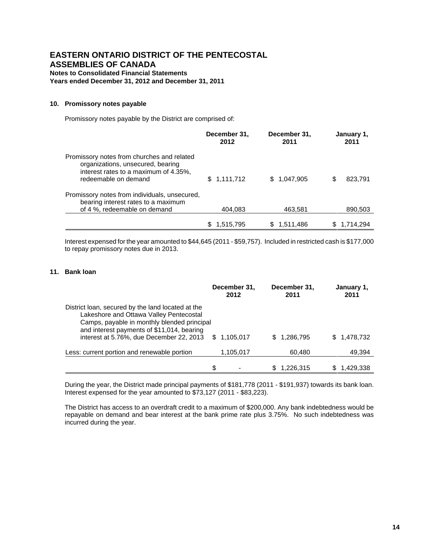# **EASTERN ONTARIO DISTRICT OF THE PENTECOSTAL ASSEMBLIES OF CANADA Notes to Consolidated Financial Statements**

**Years ended December 31, 2012 and December 31, 2011**

# **10. Promissory notes payable**

Promissory notes payable by the District are comprised of:

|                                                                                                                                                  |     | December 31,<br>2012 |   | December 31,<br>2011 |   | January 1,<br>2011 |
|--------------------------------------------------------------------------------------------------------------------------------------------------|-----|----------------------|---|----------------------|---|--------------------|
| Promissory notes from churches and related<br>organizations, unsecured, bearing<br>interest rates to a maximum of 4.35%,<br>redeemable on demand | \$. | 1,111,712            |   | \$1,047,905          | S | 823,791            |
| Promissory notes from individuals, unsecured,<br>bearing interest rates to a maximum<br>of 4 %, redeemable on demand                             |     | 404,083              |   | 463,581              |   | 890,503            |
|                                                                                                                                                  | S.  | 1,515,795            | S | 1,511,486            |   | \$1,714,294        |

Interest expensed for the year amounted to \$44,645 (2011 - \$59,757). Included in restricted cash is \$177,000 to repay promissory notes due in 2013.

# **11. Bank loan**

|                                                                                                                                                                                           | December 31,<br>2012 | December 31,<br>2011 | January 1,<br>2011 |
|-------------------------------------------------------------------------------------------------------------------------------------------------------------------------------------------|----------------------|----------------------|--------------------|
| District loan, secured by the land located at the<br>Lakeshore and Ottawa Valley Pentecostal<br>Camps, payable in monthly blended principal<br>and interest payments of \$11,014, bearing |                      |                      |                    |
| interest at 5.76%, due December 22, 2013                                                                                                                                                  | 1,105,017<br>S       | 1,286,795<br>S.      | 1,478,732<br>S.    |
| Less: current portion and renewable portion                                                                                                                                               | 1,105,017            | 60.480               | 49,394             |
|                                                                                                                                                                                           | \$                   | 1,226,315            | 1.429.338          |

During the year, the District made principal payments of \$181,778 (2011 - \$191,937) towards its bank loan. Interest expensed for the year amounted to \$73,127 (2011 - \$83,223).

The District has access to an overdraft credit to a maximum of \$200,000. Any bank indebtedness would be repayable on demand and bear interest at the bank prime rate plus 3.75%. No such indebtedness was incurred during the year.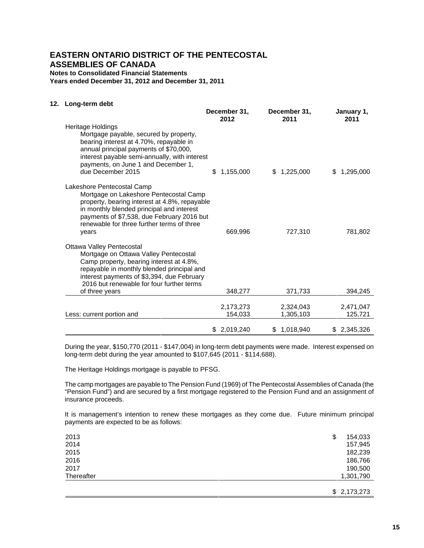**Notes to Consolidated Financial Statements Years ended December 31, 2012 and December 31, 2011**

# **12. Long-term debt**

|                                                                                                                                                                                                                                                                  | December 31,<br>2012 | December 31,<br>2011   | January 1,<br>2011   |
|------------------------------------------------------------------------------------------------------------------------------------------------------------------------------------------------------------------------------------------------------------------|----------------------|------------------------|----------------------|
| Heritage Holdings<br>Mortgage payable, secured by property,<br>bearing interest at 4.70%, repayable in<br>annual principal payments of \$70,000,<br>interest payable semi-annually, with interest<br>payments, on June 1 and December 1,<br>due December 2015    | 1,155,000<br>\$      | \$1,225,000            | 1,295,000<br>\$      |
| Lakeshore Pentecostal Camp<br>Mortgage on Lakeshore Pentecostal Camp<br>property, bearing interest at 4.8%, repayable<br>in monthly blended principal and interest<br>payments of \$7,538, due February 2016 but<br>renewable for three further terms of three   |                      |                        |                      |
| vears<br>Ottawa Valley Pentecostal<br>Mortgage on Ottawa Valley Pentecostal<br>Camp property, bearing interest at 4.8%,<br>repayable in monthly blended principal and<br>interest payments of \$3,394, due February<br>2016 but renewable for four further terms | 669,996              | 727,310                | 781,802              |
| of three years                                                                                                                                                                                                                                                   | 348,277              | 371,733                | 394,245              |
| Less: current portion and                                                                                                                                                                                                                                        | 2,173,273<br>154,033 | 2,324,043<br>1,305,103 | 2,471,047<br>125,721 |
|                                                                                                                                                                                                                                                                  | \$2,019,240          | \$1,018,940            | \$2,345,326          |

During the year, \$150,770 (2011 - \$147,004) in long-term debt payments were made. Interest expensed on long-term debt during the year amounted to \$107,645 (2011 - \$114,688).

The Heritage Holdings mortgage is payable to PFSG.

The camp mortgages are payable to The Pension Fund (1969) of The Pentecostal Assemblies of Canada (the "Pension Fund") and are secured by a first mortgage registered to the Pension Fund and an assignment of insurance proceeds.

It is management's intention to renew these mortgages as they come due. Future minimum principal payments are expected to be as follows:

| 2013       | \$<br>154,033 |
|------------|---------------|
| 2014       | 157,945       |
| 2015       | 182,239       |
| 2016       | 186,766       |
| 2017       | 190,500       |
| Thereafter | 1,301,790     |
|            |               |
|            | \$2,173,273   |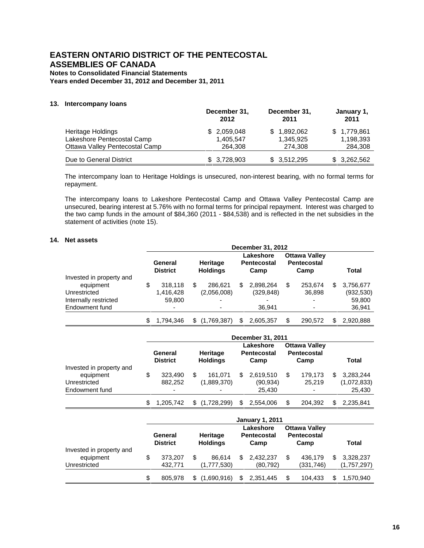**Notes to Consolidated Financial Statements Years ended December 31, 2012 and December 31, 2011**

# **13. Intercompany loans**

|                                | December 31,<br>2012 | December 31,<br>2011 | January 1,<br>2011 |
|--------------------------------|----------------------|----------------------|--------------------|
| Heritage Holdings              | \$2,059,048          | 1,892,062            | \$1,779,861        |
| Lakeshore Pentecostal Camp     | 1.405.547            | 1.345.925            | 1,198,393          |
| Ottawa Valley Pentecostal Camp | 264.308              | 274.308              | 284,308            |
| Due to General District        | \$3,728,903          | \$3,512,295          | \$3,262,562        |

The intercompany loan to Heritage Holdings is unsecured, non-interest bearing, with no formal terms for repayment.

The intercompany loans to Lakeshore Pentecostal Camp and Ottawa Valley Pentecostal Camp are unsecured, bearing interest at 5.76% with no formal terms for principal repayment. Interest was charged to the two camp funds in the amount of \$84,360 (2011 - \$84,538) and is reflected in the net subsidies in the statement of activities (note 15).

# **14. Net assets**

|                                                                                                  |                            | December 31, 2012                                          |                             |                        |                                         |                                   |                                                    |                                                                           |   |                                             |  |  |  |  |
|--------------------------------------------------------------------------------------------------|----------------------------|------------------------------------------------------------|-----------------------------|------------------------|-----------------------------------------|-----------------------------------|----------------------------------------------------|---------------------------------------------------------------------------|---|---------------------------------------------|--|--|--|--|
|                                                                                                  | General<br><b>District</b> |                                                            | Heritage<br><b>Holdings</b> |                        | Lakeshore<br><b>Pentecostal</b><br>Camp |                                   | <b>Ottawa Valley</b><br><b>Pentecostal</b><br>Camp |                                                                           |   | Total                                       |  |  |  |  |
| Invested in property and<br>equipment<br>Unrestricted<br>Internally restricted<br>Endowment fund | \$                         | 318,118<br>1,416,428<br>59,800<br>$\overline{\phantom{0}}$ | S                           | 286.621<br>(2,056,008) | \$                                      | 2,898,264<br>(329, 848)<br>36.941 | \$                                                 | 253,674<br>36,898<br>$\overline{\phantom{a}}$<br>$\overline{\phantom{0}}$ | S | 3,756,677<br>(932, 530)<br>59,800<br>36,941 |  |  |  |  |
|                                                                                                  | \$                         | 1.794.346                                                  |                             | (1,769,387)            | \$                                      | 2.605.357                         | \$                                                 | 290.572                                                                   |   | 2,920,888                                   |  |  |  |  |

|                                                                         |                            | December 31, 2011                              |                             |                             |                                         |                                 |                                             |                                               |     |                                    |  |  |
|-------------------------------------------------------------------------|----------------------------|------------------------------------------------|-----------------------------|-----------------------------|-----------------------------------------|---------------------------------|---------------------------------------------|-----------------------------------------------|-----|------------------------------------|--|--|
| Invested in property and<br>equipment<br>Unrestricted<br>Endowment fund | General<br><b>District</b> |                                                | Heritage<br><b>Holdings</b> |                             | Lakeshore<br><b>Pentecostal</b><br>Camp |                                 | <b>Ottawa Valley</b><br>Pentecostal<br>Camp |                                               |     | Total                              |  |  |
|                                                                         | \$                         | 323.490<br>882.252<br>$\overline{\phantom{a}}$ | S                           | 161.071<br>(1,889,370)<br>- | S                                       | 2,619,510<br>(90,934)<br>25,430 | S                                           | 179.173<br>25,219<br>$\overline{\phantom{0}}$ | \$. | 3,283,244<br>(1,072,833)<br>25,430 |  |  |
|                                                                         | \$                         | 1,205,742                                      | S                           | (1,728,299)                 | \$                                      | 2.554.006                       | \$                                          | 204.392                                       | S   | 2.235.841                          |  |  |

|                                                       | <b>January 1, 2011</b>     |                    |                             |                       |   |                                         |                                             |                      |    |                          |  |
|-------------------------------------------------------|----------------------------|--------------------|-----------------------------|-----------------------|---|-----------------------------------------|---------------------------------------------|----------------------|----|--------------------------|--|
|                                                       | General<br><b>District</b> |                    | Heritage<br><b>Holdings</b> |                       |   | Lakeshore<br><b>Pentecostal</b><br>Camp | <b>Ottawa Valley</b><br>Pentecostal<br>Camp |                      |    | Total                    |  |
| Invested in property and<br>equipment<br>Unrestricted | \$                         | 373,207<br>432.771 |                             | 86.614<br>(1,777,530) | S | 2.432.237<br>(80,792)                   | \$                                          | 436.179<br>(331,746) | S. | 3,328,237<br>(1,757,297) |  |
|                                                       | \$                         | 805.978            | \$.                         | (1,690,916)           | S | 2,351,445                               | \$                                          | 104.433              |    | 1,570,940                |  |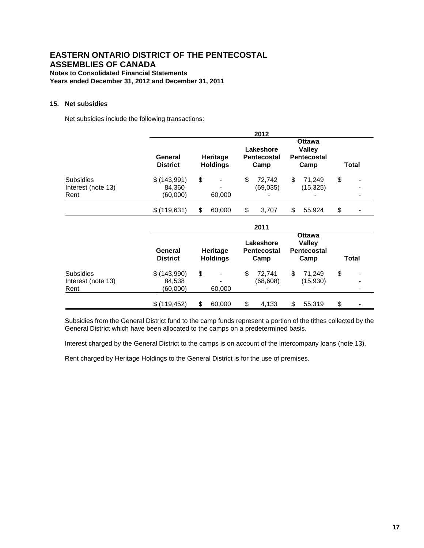# **15. Net subsidies**

Net subsidies include the following transactions:

|                                                |                                   |                                    |                             |                                  | 2012                                    |                                                              |              |
|------------------------------------------------|-----------------------------------|------------------------------------|-----------------------------|----------------------------------|-----------------------------------------|--------------------------------------------------------------|--------------|
| <b>Subsidies</b><br>Interest (note 13)<br>Rent | General<br><b>District</b>        |                                    | Heritage<br><b>Holdings</b> |                                  | Lakeshore<br><b>Pentecostal</b><br>Camp | <b>Ottawa</b><br><b>Valley</b><br><b>Pentecostal</b><br>Camp | Total        |
|                                                | \$(143,991)<br>84,360<br>(60,000) | \$                                 | 60,000                      | \$                               | 72,742<br>(69,035)                      | \$<br>71,249<br>(15, 325)                                    | \$           |
|                                                | \$(119, 631)                      | \$                                 | 60,000                      | \$                               | 3,707                                   | \$<br>55,924                                                 | \$           |
|                                                |                                   |                                    |                             |                                  | 2011                                    |                                                              |              |
|                                                | General<br><b>District</b>        | <b>Heritage</b><br><b>Holdings</b> |                             | Lakeshore<br>Pentecostal<br>Camp |                                         | <b>Ottawa</b><br><b>Valley</b><br><b>Pentecostal</b><br>Camp | <b>Total</b> |
| <b>Subsidies</b><br>Interest (note 13)<br>Rent | \$(143,990)<br>84,538<br>(60,000) | \$                                 | 60,000                      | \$                               | 72,741<br>(68, 608)                     | \$<br>71,249<br>(15,930)                                     | \$           |
|                                                | \$(119, 452)                      | \$                                 | 60,000                      | \$                               | 4,133                                   | \$<br>55,319                                                 | \$           |

Subsidies from the General District fund to the camp funds represent a portion of the tithes collected by the General District which have been allocated to the camps on a predetermined basis.

Interest charged by the General District to the camps is on account of the intercompany loans (note 13).

Rent charged by Heritage Holdings to the General District is for the use of premises.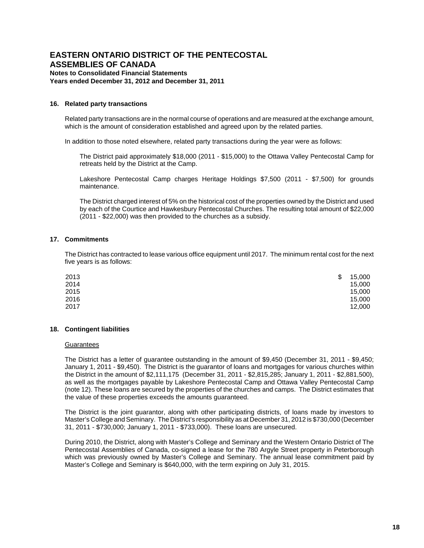**Notes to Consolidated Financial Statements Years ended December 31, 2012 and December 31, 2011**

## **16. Related party transactions**

Related party transactions are in the normal course of operations and are measured at the exchange amount, which is the amount of consideration established and agreed upon by the related parties.

In addition to those noted elsewhere, related party transactions during the year were as follows:

The District paid approximately \$18,000 (2011 - \$15,000) to the Ottawa Valley Pentecostal Camp for retreats held by the District at the Camp.

Lakeshore Pentecostal Camp charges Heritage Holdings \$7,500 (2011 - \$7,500) for grounds maintenance.

The District charged interest of 5% on the historical cost of the properties owned by the District and used by each of the Courtice and Hawkesbury Pentecostal Churches. The resulting total amount of \$22,000 (2011 - \$22,000) was then provided to the churches as a subsidy.

# **17. Commitments**

The District has contracted to lease various office equipment until 2017. The minimum rental cost for the next five years is as follows:

| 2013 | \$<br>15,000 |
|------|--------------|
| 2014 | 15,000       |
| 2015 | 15,000       |
| 2016 | 15,000       |
| 2017 | 12,000       |

# **18. Contingent liabilities**

### **Guarantees**

The District has a letter of guarantee outstanding in the amount of \$9,450 (December 31, 2011 - \$9,450; January 1, 2011 - \$9,450). The District is the guarantor of loans and mortgages for various churches within the District in the amount of \$2,111,175 (December 31, 2011 - \$2,815,285; January 1, 2011 - \$2,881,500), as well as the mortgages payable by Lakeshore Pentecostal Camp and Ottawa Valley Pentecostal Camp (note 12). These loans are secured by the properties of the churches and camps. The District estimates that the value of these properties exceeds the amounts guaranteed.

The District is the joint guarantor, along with other participating districts, of loans made by investors to Master's College and Seminary. The District's responsibility as at December 31, 2012 is \$730,000 (December 31, 2011 - \$730,000; January 1, 2011 - \$733,000). These loans are unsecured.

During 2010, the District, along with Master's College and Seminary and the Western Ontario District of The Pentecostal Assemblies of Canada, co-signed a lease for the 780 Argyle Street property in Peterborough which was previously owned by Master's College and Seminary. The annual lease commitment paid by Master's College and Seminary is \$640,000, with the term expiring on July 31, 2015.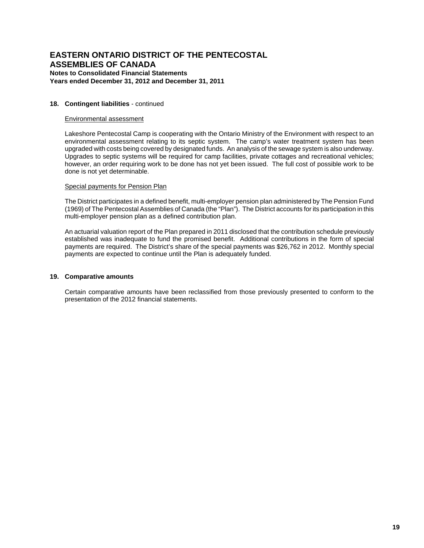## **18. Contingent liabilities** - continued

## Environmental assessment

Lakeshore Pentecostal Camp is cooperating with the Ontario Ministry of the Environment with respect to an environmental assessment relating to its septic system. The camp's water treatment system has been upgraded with costs being covered by designated funds. An analysis of the sewage system is also underway. Upgrades to septic systems will be required for camp facilities, private cottages and recreational vehicles; however, an order requiring work to be done has not yet been issued. The full cost of possible work to be done is not yet determinable.

### Special payments for Pension Plan

The District participates in a defined benefit, multi-employer pension plan administered by The Pension Fund (1969) of The Pentecostal Assemblies of Canada (the "Plan"). The District accounts for its participation in this multi-employer pension plan as a defined contribution plan.

An actuarial valuation report of the Plan prepared in 2011 disclosed that the contribution schedule previously established was inadequate to fund the promised benefit. Additional contributions in the form of special payments are required. The District's share of the special payments was \$26,762 in 2012. Monthly special payments are expected to continue until the Plan is adequately funded.

### **19. Comparative amounts**

Certain comparative amounts have been reclassified from those previously presented to conform to the presentation of the 2012 financial statements.